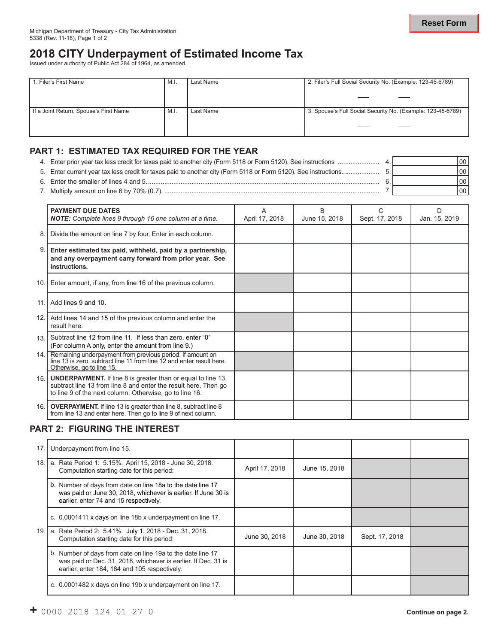# **2018 CITY Underpayment of Estimated Income Tax** Issued under authority of Public Act 284 of 1964, as amended.

| 1. Filer's First Name                  |      | Last Name | 2. Filer's Full Social Security No. (Example: 123-45-6789)  |  |  |  |
|----------------------------------------|------|-----------|-------------------------------------------------------------|--|--|--|
|                                        |      |           |                                                             |  |  |  |
|                                        |      |           |                                                             |  |  |  |
| If a Joint Return, Spouse's First Name | M.I. | Last Name | 3. Spouse's Full Social Security No. (Example: 123-45-6789) |  |  |  |
|                                        |      |           |                                                             |  |  |  |
|                                        |      |           |                                                             |  |  |  |

#### **PART 1: ESTIMATED TAX REQUIRED FOR THE YEAR**

| 4. Enter prior year tax less credit for taxes paid to another city (Form 5118 or Form 5120). See instructions   | 00 I |
|-----------------------------------------------------------------------------------------------------------------|------|
| 5. Enter current year tax less credit for taxes paid to another city (Form 5118 or Form 5120). See instructions | 001  |
| 6. Enter the smaller of lines 4 and 5.                                                                          | 00 I |
| 7. Multiply amount on line 6 by 70% (0.7).                                                                      |      |

|      | <b>PAYMENT DUE DATES</b><br><b>NOTE:</b> Complete lines 9 through 16 one column at a time.                                                                                                        | A<br>April 17, 2018 | B<br>June 15, 2018 | С<br>Sept. 17, 2018 | D<br>Jan. 15, 2019 |
|------|---------------------------------------------------------------------------------------------------------------------------------------------------------------------------------------------------|---------------------|--------------------|---------------------|--------------------|
| 8.1  | Divide the amount on line 7 by four. Enter in each column.                                                                                                                                        |                     |                    |                     |                    |
| 9.   | Enter estimated tax paid, withheld, paid by a partnership,<br>and any overpayment carry forward from prior year. See<br>instructions.                                                             |                     |                    |                     |                    |
| 10.1 | Enter amount, if any, from line 16 of the previous column.                                                                                                                                        |                     |                    |                     |                    |
| 11.1 | Add lines 9 and 10.                                                                                                                                                                               |                     |                    |                     |                    |
|      | 12. Add lines 14 and 15 of the previous column and enter the<br>result here.                                                                                                                      |                     |                    |                     |                    |
| 13.1 | Subtract line 12 from line 11. If less than zero, enter "0"<br>(For column A only, enter the amount from line 9.)                                                                                 |                     |                    |                     |                    |
|      | 14. Remaining underpayment from previous period. If amount on<br>line 13 is zero, subtract line 11 from line 12 and enter result here.<br>Otherwise, go to line 15.                               |                     |                    |                     |                    |
| 15.1 | <b>UNDERPAYMENT.</b> If line 8 is greater than or equal to line 13,<br>subtract line 13 from line 8 and enter the result here. Then go<br>to line 9 of the next column. Otherwise, go to line 16. |                     |                    |                     |                    |
| 16.1 | <b>OVERPAYMENT.</b> If line 13 is greater than line 8, subtract line 8<br>from line 13 and enter here. Then go to line 9 of next column.                                                          |                     |                    |                     |                    |

# **PART 2: FIGURING THE INTEREST**

| 17.1 | Underpayment from line 15.                                                                                                                                                     |                |               |                |  |
|------|--------------------------------------------------------------------------------------------------------------------------------------------------------------------------------|----------------|---------------|----------------|--|
| 18.  | a. Rate Period 1: 5.15%. April 15, 2018 - June 30, 2018.<br>Computation starting date for this period:                                                                         | April 17, 2018 | June 15, 2018 |                |  |
|      | b. Number of days from date on line 18a to the date line 17<br>was paid or June 30, 2018, whichever is earlier. If June 30 is<br>earlier, enter 74 and 15 respectively.        |                |               |                |  |
|      | c. 0.0001411 x days on line 18b x underpayment on line 17.                                                                                                                     |                |               |                |  |
| 19.  | a. Rate Period 2: 5.41%. July 1, 2018 - Dec. 31, 2018.<br>Computation starting date for this period:                                                                           | June 30, 2018  | June 30, 2018 | Sept. 17, 2018 |  |
|      | b. Number of days from date on line 19a to the date line 17<br>was paid or Dec. 31, 2018, whichever is earlier. If Dec. 31 is<br>earlier, enter 184, 184 and 105 respectively. |                |               |                |  |
|      | c. 0.0001482 x days on line 19b x underpayment on line 17.                                                                                                                     |                |               |                |  |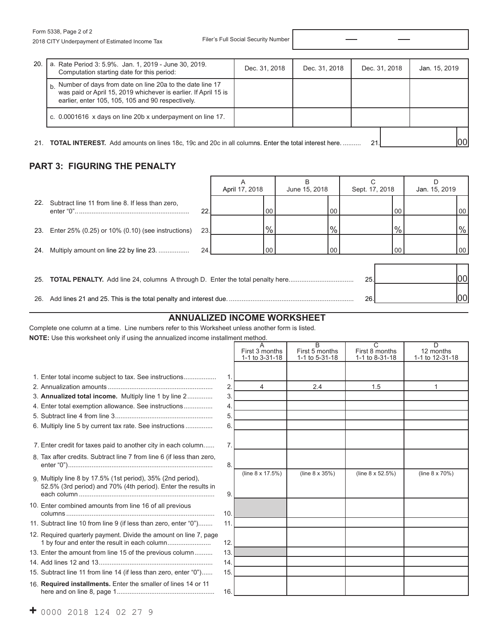| 20. | a. Rate Period 3: 5.9%. Jan. 1, 2019 - June 30, 2019.<br>Computation starting date for this period:                                                                              | Dec. 31, 2018 | Dec. 31, 2018 | Dec. 31, 2018 | Jan. 15, 2019 |
|-----|----------------------------------------------------------------------------------------------------------------------------------------------------------------------------------|---------------|---------------|---------------|---------------|
|     | Number of days from date on line 20a to the date line 17<br>was paid or April 15, 2019 whichever is earlier. If April 15 is<br>earlier, enter 105, 105, 105 and 90 respectively. |               |               |               |               |
|     | c. 0.0001616 x days on line 20b x underpayment on line 17.                                                                                                                       |               |               |               |               |
|     | 21. <b>TOTAL INTEREST.</b> Add amounts on lines 18c, 19c and 20c in all columns. Enter the total interest here.                                                                  |               |               | 21            | l00l          |

# **PART 3: FIGURING THE PENALTY**

|     |                                                   |      | April 17, 2018 |      | B<br>June 15, 2018 |         | Sept. 17, 2018 |      | Jan. 15, 2019 |      |
|-----|---------------------------------------------------|------|----------------|------|--------------------|---------|----------------|------|---------------|------|
| 22. | Subtract line 11 from line 8. If less than zero,  | 22.  |                | 00   |                    | 00      |                | 00   |               | 00   |
| 23. | Enter 25% (0.25) or 10% (0.10) (see instructions) | 23.I |                | $\%$ |                    | $\%$    |                | $\%$ |               | $\%$ |
| 24. | Multiply amount on line 22 by line 23.            | 24.  |                | 00   |                    | $00 \,$ |                | 00   |               | 00   |
| 25. |                                                   |      |                |      |                    |         | 25.            |      |               | 00   |
| 26. |                                                   |      |                |      |                    |         | 26.            |      |               | 00   |

# **ANNUALIZED INCOME WORKSHEET**

Complete one column at a time. Line numbers refer to this Worksheet unless another form is listed. **NOTE:** Use this worksheet only if using the annualized income installment method.

|                                                                                                                              |                | A<br>First 3 months<br>1-1 to 3-31-18 | $\overline{B}$<br>First 5 months<br>1-1 to 5-31-18 | $\overline{C}$<br>First 8 months<br>1-1 to 8-31-18 | $\overline{D}$<br>12 months<br>1-1 to 12-31-18 |
|------------------------------------------------------------------------------------------------------------------------------|----------------|---------------------------------------|----------------------------------------------------|----------------------------------------------------|------------------------------------------------|
| 1. Enter total income subject to tax. See instructions                                                                       | $\mathbf{1}$ . |                                       |                                                    |                                                    |                                                |
|                                                                                                                              | 2.             | 4                                     | 2.4                                                | 1.5                                                | 1                                              |
| 3. Annualized total income. Multiply line 1 by line 2                                                                        | 3.             |                                       |                                                    |                                                    |                                                |
| 4. Enter total exemption allowance. See instructions                                                                         | 4.             |                                       |                                                    |                                                    |                                                |
|                                                                                                                              | 5.             |                                       |                                                    |                                                    |                                                |
| 6. Multiply line 5 by current tax rate. See instructions                                                                     | 6              |                                       |                                                    |                                                    |                                                |
| 7. Enter credit for taxes paid to another city in each column                                                                | 7.             |                                       |                                                    |                                                    |                                                |
| 8. Tax after credits. Subtract line 7 from line 6 (if less than zero,                                                        | 8.             |                                       |                                                    |                                                    |                                                |
| 9. Multiply line 8 by 17.5% (1st period), 35% (2nd period),<br>52.5% (3rd period) and 70% (4th period). Enter the results in | 9.             | (line 8 x 17.5%)                      | (line 8 x 35%)                                     | (line $8 \times 52.5\%)$                           | (line 8 x 70%)                                 |
| 10. Enter combined amounts from line 16 of all previous                                                                      | 10.            |                                       |                                                    |                                                    |                                                |
| 11. Subtract line 10 from line 9 (if less than zero, enter "0")                                                              | 11.            |                                       |                                                    |                                                    |                                                |
| 12. Required quarterly payment. Divide the amount on line 7, page<br>1 by four and enter the result in each column           | 12.            |                                       |                                                    |                                                    |                                                |
| 13. Enter the amount from line 15 of the previous column                                                                     | 13.            |                                       |                                                    |                                                    |                                                |
|                                                                                                                              | 14.            |                                       |                                                    |                                                    |                                                |
| 15. Subtract line 11 from line 14 (if less than zero, enter "0")                                                             | 15.            |                                       |                                                    |                                                    |                                                |
| 16. Required installments. Enter the smaller of lines 14 or 11                                                               | 16.            |                                       |                                                    |                                                    |                                                |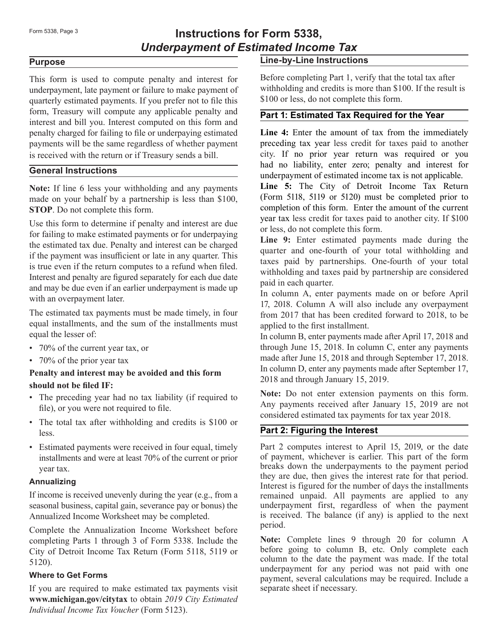# Form 5338, Page 3 **Instructions for Form 5338,** *Underpayment of Estimated Income Tax*

#### **Purpose**

This form is used to compute penalty and interest for underpayment, late payment or failure to make payment of quarterly estimated payments. If you prefer not to file this form, Treasury will compute any applicable penalty and interest and bill you. Interest computed on this form and penalty charged for failing to file or underpaying estimated payments will be the same regardless of whether payment is received with the return or if Treasury sends a bill.

## **General Instructions**

**Note:** If line 6 less your withholding and any payments made on your behalf by a partnership is less than \$100, **STOP**. Do not complete this form.

Use this form to determine if penalty and interest are due for failing to make estimated payments or for underpaying the estimated tax due. Penalty and interest can be charged if the payment was insufficient or late in any quarter. This is true even if the return computes to a refund when filed. Interest and penalty are figured separately for each due date and may be due even if an earlier underpayment is made up with an overpayment later.

The estimated tax payments must be made timely, in four equal installments, and the sum of the installments must equal the lesser of:

- 70% of the current year tax, or
- 70% of the prior year tax

# **Penalty and interest may be avoided and this form**

# **should not be filed IF:**

- The preceding year had no tax liability (if required to file), or you were not required to file.
- The total tax after withholding and credits is \$100 or less.
- Estimated payments were received in four equal, timely installments and were at least 70% of the current or prior year tax.

#### **Annualizing**

If income is received unevenly during the year (e.g., from a seasonal business, capital gain, severance pay or bonus) the Annualized Income Worksheet may be completed.

Complete the Annualization Income Worksheet before completing Parts 1 through 3 of Form 5338. Include the City of Detroit Income Tax Return (Form 5118, 5119 or 5120).

# **Where to Get Forms**

If you are required to make estimated tax payments visit **www.michigan.gov/citytax** to obtain *2019 City Estimated Individual Income Tax Voucher* (Form 5123).

# **Line-by-Line Instructions**

Before completing Part 1, verify that the total tax after withholding and credits is more than \$100. If the result is \$100 or less, do not complete this form.

# **Part 1: Estimated Tax Required for the Year**

**Line 4:** Enter the amount of tax from the immediately preceding tax year less credit for taxes paid to another city. If no prior year return was required or you had no liability, enter zero; penalty and interest for underpayment of estimated income tax is not applicable.

**Line 5:** The City of Detroit Income Tax Return (Form 5118, 5119 or 5120) must be completed prior to completion of this form. Enter the amount of the current year tax less credit for taxes paid to another city. If \$100 or less, do not complete this form.

**Line 9:** Enter estimated payments made during the quarter and one-fourth of your total withholding and taxes paid by partnerships. One-fourth of your total withholding and taxes paid by partnership are considered paid in each quarter.

In column A, enter payments made on or before April 17, 2018. Column A will also include any overpayment from 2017 that has been credited forward to 2018, to be applied to the first installment.

In column B, enter payments made after April 17, 2018 and through June 15, 2018. In column C, enter any payments made after June 15, 2018 and through September 17, 2018. In column D, enter any payments made after September 17, 2018 and through January 15, 2019.

**Note:** Do not enter extension payments on this form. Any payments received after January 15, 2019 are not considered estimated tax payments for tax year 2018.

# **Part 2: Figuring the Interest**

Part 2 computes interest to April 15, 2019, or the date of payment, whichever is earlier. This part of the form breaks down the underpayments to the payment period they are due, then gives the interest rate for that period. Interest is figured for the number of days the installments remained unpaid. All payments are applied to any underpayment first, regardless of when the payment is received. The balance (if any) is applied to the next period.

**Note:** Complete lines 9 through 20 for column A before going to column B, etc. Only complete each column to the date the payment was made. If the total underpayment for any period was not paid with one payment, several calculations may be required. Include a separate sheet if necessary.